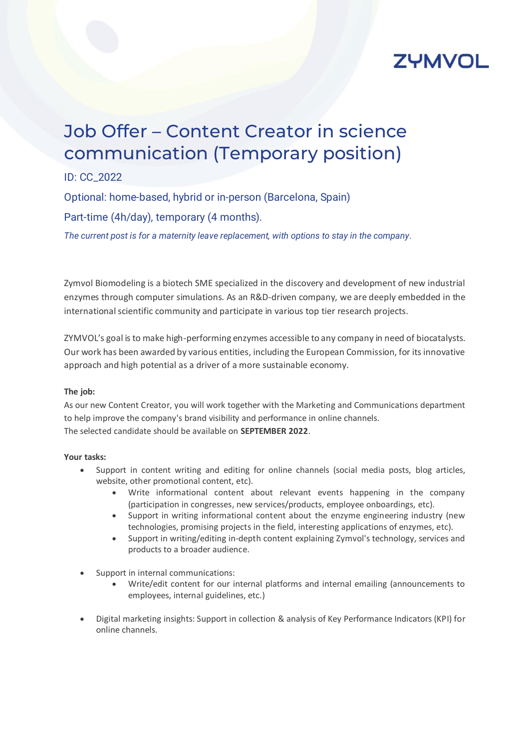

# Job Offer – Content Creator in science communication (Temporary position)

ID: CC\_2022

Optional: home-based, hybrid or in-person (Barcelona, Spain)

Part-time (4h/day), temporary (4 months).

*The current post is for a maternity leave replacement, with options to stay in the company.*

Zymvol Biomodeling is a biotech SME specialized in the discovery and development of new industrial enzymes through computer simulations. As an R&D-driven company, we are deeply embedded in the international scientific community and participate in various top tier research projects.

ZYMVOL's goal is to make high-performing enzymes accessible to any company in need of biocatalysts. Our work has been awarded by various entities, including the European Commission, for its innovative approach and high potential as a driver of a more sustainable economy.

#### **The job:**

As our new Content Creator, you will work together with the Marketing and Communications department to help improve the company's brand visibility and performance in online channels. The selected candidate should be available on **SEPTEMBER 2022**.

#### **Your tasks:**

- Support in content writing and editing for online channels (social media posts, blog articles, website, other promotional content, etc).
	- Write informational content about relevant events happening in the company (participation in congresses, new services/products, employee onboardings, etc).
	- Support in writing informational content about the enzyme engineering industry (new technologies, promising projects in the field, interesting applications of enzymes, etc).
	- Support in writing/editing in-depth content explaining Zymvol's technology, services and products to a broader audience.
- Support in internal communications:
	- Write/edit content for our internal platforms and internal emailing (announcements to employees, internal guidelines, etc.)
- Digital marketing insights: Support in collection & analysis of Key Performance Indicators (KPI) for online channels.